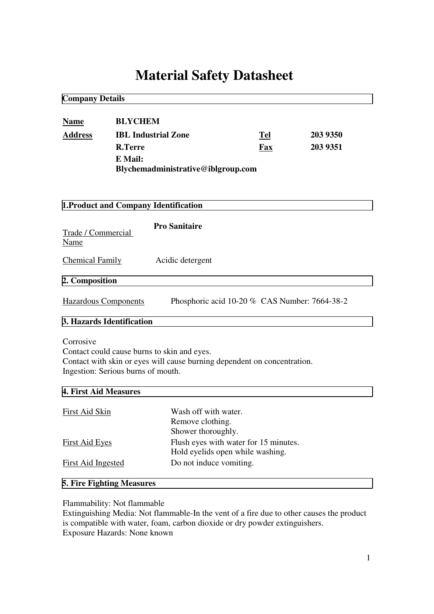# **Material Safety Datasheet**

| <b>Company Details</b>     |                                       |                                                                                                                         |                                                                           |          |  |  |
|----------------------------|---------------------------------------|-------------------------------------------------------------------------------------------------------------------------|---------------------------------------------------------------------------|----------|--|--|
| <b>Name</b>                | <b>BLYCHEM</b>                        |                                                                                                                         | Tel                                                                       |          |  |  |
| <b>Address</b>             |                                       | <b>IBL Industrial Zone</b>                                                                                              |                                                                           | 203 9350 |  |  |
|                            | <b>R.Terre</b>                        |                                                                                                                         | Fax                                                                       | 203 9351 |  |  |
|                            | E Mail:                               | Blychemadministrative@iblgroup.com                                                                                      |                                                                           |          |  |  |
|                            | 1. Product and Company Identification |                                                                                                                         |                                                                           |          |  |  |
| Trade / Commercial<br>Name |                                       | <b>Pro Sanitaire</b>                                                                                                    |                                                                           |          |  |  |
| <b>Chemical Family</b>     |                                       | Acidic detergent                                                                                                        |                                                                           |          |  |  |
| 2. Composition             |                                       |                                                                                                                         |                                                                           |          |  |  |
|                            | <b>Hazardous Components</b>           |                                                                                                                         | Phosphoric acid 10-20 % CAS Number: 7664-38-2                             |          |  |  |
|                            | 3. Hazards Identification             |                                                                                                                         |                                                                           |          |  |  |
| Corrosive                  | Ingestion: Serious burns of mouth.    | Contact could cause burns to skin and eyes.<br>Contact with skin or eyes will cause burning dependent on concentration. |                                                                           |          |  |  |
| 4. First Aid Measures      |                                       |                                                                                                                         |                                                                           |          |  |  |
| First Aid Skin             |                                       | Wash off with water.<br>Remove clothing.<br>Shower thoroughly.                                                          |                                                                           |          |  |  |
| <b>First Aid Eyes</b>      |                                       |                                                                                                                         | Flush eyes with water for 15 minutes.<br>Hold eyelids open while washing. |          |  |  |
| <b>First Aid Ingested</b>  |                                       | Do not induce vomiting.                                                                                                 |                                                                           |          |  |  |

## **5. Fire Fighting Measures**

Flammability: Not flammable

Extinguishing Media: Not flammable-In the vent of a fire due to other causes the product is compatible with water, foam, carbon dioxide or dry powder extinguishers. Exposure Hazards: None known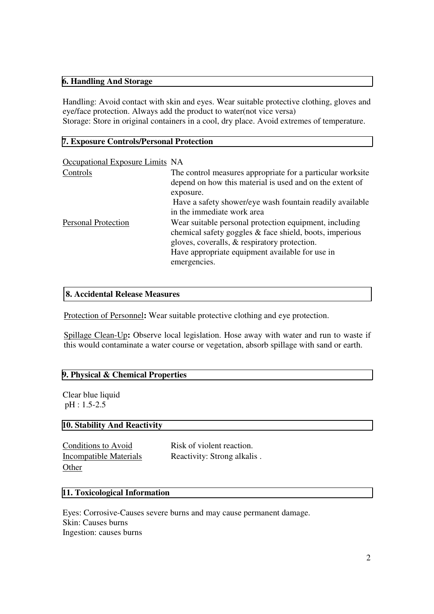#### **6. Handling And Storage**

Handling: Avoid contact with skin and eyes. Wear suitable protective clothing, gloves and eye/face protection. Always add the product to water(not vice versa) Storage: Store in original containers in a cool, dry place. Avoid extremes of temperature.

#### **7. Exposure Controls/Personal Protection**

| Occupational Exposure Limits NA |                                                                                                                                                                                                                                      |
|---------------------------------|--------------------------------------------------------------------------------------------------------------------------------------------------------------------------------------------------------------------------------------|
| Controls                        | The control measures appropriate for a particular worksite<br>depend on how this material is used and on the extent of<br>exposure.                                                                                                  |
|                                 | Have a safety shower/eye wash fountain readily available<br>in the immediate work area                                                                                                                                               |
| <b>Personal Protection</b>      | Wear suitable personal protection equipment, including<br>chemical safety goggles & face shield, boots, imperious<br>gloves, coveralls, & respiratory protection.<br>Have appropriate equipment available for use in<br>emergencies. |

### **8. Accidental Release Measures**

Protection of Personnel**:** Wear suitable protective clothing and eye protection.

Spillage Clean-Up**:** Observe local legislation. Hose away with water and run to waste if this would contaminate a water course or vegetation, absorb spillage with sand or earth.

### **9. Physical & Chemical Properties**

Clear blue liquid pH : 1.5-2.5

## **10. Stability And Reactivity**

| Conditions to Avoid    | Risk of violent reaction.   |
|------------------------|-----------------------------|
| Incompatible Materials | Reactivity: Strong alkalis. |
| Other                  |                             |

### **11. Toxicological Information**

Eyes: Corrosive-Causes severe burns and may cause permanent damage. Skin: Causes burns Ingestion: causes burns